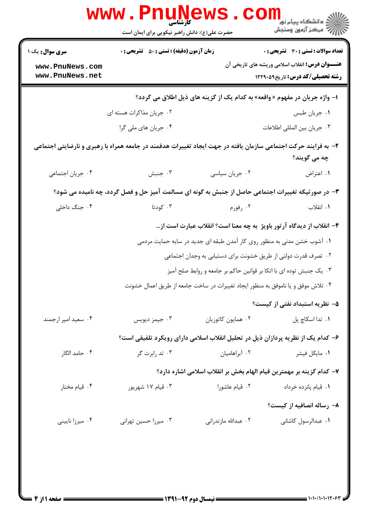|                                                                                                                               | <b>WWW.PNUNG</b><br>حضرت علی(ع): دانش راهبر نیکویی برای ایمان است                                  |                      | ≦ دانشگاه پیام نو <mark>ر</mark><br>رآ مرکز آزمون وسنجش                                                |  |  |  |
|-------------------------------------------------------------------------------------------------------------------------------|----------------------------------------------------------------------------------------------------|----------------------|--------------------------------------------------------------------------------------------------------|--|--|--|
| <b>سری سوال :</b> یک ۱                                                                                                        | <b>زمان آزمون (دقیقه) : تستی : 50 ٪ تشریحی : 0</b>                                                 |                      | <b>تعداد سوالات : تستی : 30 ٪ تشریحی : 0</b><br><b>عنـــوان درس:</b> انقلاب اسلامی وریشه های تاریخی آن |  |  |  |
| www.PnuNews.com<br>www.PnuNews.net                                                                                            |                                                                                                    |                      | <b>رشته تحصیلی/کد درس:</b> تاریخ1۲۲۹۰۵۹                                                                |  |  |  |
| ا– واژه جریان در مفهوم « واقعه» به کدام یک از گزینه های ذیل اطلاق می گردد؟                                                    |                                                                                                    |                      |                                                                                                        |  |  |  |
|                                                                                                                               | ۰۲ جریان مذاکرات هسته ای                                                                           |                      | ۰۱ جریان طبس                                                                                           |  |  |  |
|                                                                                                                               | ۰۴ جریان های ملی گرا                                                                               |                      | ۰۳ جريان بين المللي اطلاعات                                                                            |  |  |  |
| ۲- به فرایند حرکت اجتماعی سازمان یافته در جهت ایجاد تغییرات هدفمند در جامعه همراه با رهبری و نارضایتی اجتماعی<br>چه مي گويند؟ |                                                                                                    |                      |                                                                                                        |  |  |  |
| ۰۴ جريان اجتماعي                                                                                                              | ۰۳ جنبش                                                                                            | ٠٢ جريان سياسي       | ٠١. اعتراض                                                                                             |  |  |  |
|                                                                                                                               | ۳- در صورتیکه تغییرات اجتماعی حاصل از جنبش به گونه ای مسالمت آمیز حل و فصل گردد، چه نامیده می شود؟ |                      |                                                                                                        |  |  |  |
| ۰۴ جنگ داخلی                                                                                                                  | ۰۳ کودتا                                                                                           | ۰۲ رفورم             | ۰۱ انقلاب                                                                                              |  |  |  |
|                                                                                                                               |                                                                                                    |                      | ۴– انقلاب از دیدگاه آرتور باویژ به چه معنا است؟ انقلاب عبارت است از…                                   |  |  |  |
|                                                                                                                               | ۰۱ آشوب خشن مدنی به منظور روی کار آمدن طبقه ای جدید در سایه حمایت مردمی                            |                      |                                                                                                        |  |  |  |
|                                                                                                                               | ۰۲ تصرف قدرت دولتی از طریق خشونت برای دستیابی به وجدان اجتماعی                                     |                      |                                                                                                        |  |  |  |
|                                                                                                                               | ۰۳ یک جنبش توده ای با اتکا بر قوانین حاکم بر جامعه و روابط صلح آمیز                                |                      |                                                                                                        |  |  |  |
|                                                                                                                               | ۰۴ تلاش موفق و یا ناموفق به منظور ایجاد تغییرات در ساخت جامعه از طریق اعمال خشونت                  |                      |                                                                                                        |  |  |  |
|                                                                                                                               |                                                                                                    |                      | ۵– نظریه استبداد نفتی از کیست؟                                                                         |  |  |  |
| ۰۴ سعید امیر ارجمند                                                                                                           | ۰۳ جیمز دیویس                                                                                      | ۰۲ همایون کاتوزیان   | ٠١ تدا اسكاچ پل                                                                                        |  |  |  |
|                                                                                                                               | ۶– کدام یک از نظریه پردازان ذیل در تحلیل انقلاب اسلامی دارای رویکرد تلفیقی است؟                    |                      |                                                                                                        |  |  |  |
| ۰۴ حامد الگار                                                                                                                 | ۰۳ تد رابرت گر                                                                                     | ۰۲ آبراهامیان        | ۰۱ مایکل فیشر                                                                                          |  |  |  |
|                                                                                                                               |                                                                                                    |                      | ٧- كدام گزينه بر مهمترين قيام الهام بخش بر انقلاب اسلامي اشاره دارد؟                                   |  |  |  |
| ۰۴ قیام مختار                                                                                                                 | ۰۳ قیام ۱۷ شهریور                                                                                  | ۰۲ قیام عاشورا       | ٠١. قيام پانزده خرداد                                                                                  |  |  |  |
|                                                                                                                               |                                                                                                    |                      | ۸– رساله انصافیه از کیست؟                                                                              |  |  |  |
| ۰۴ میرزا نایینی                                                                                                               | ۰۳ میرزا حسین تهرانی                                                                               | ۰۲ عبدالله مازندرانی | ۰۱ عبدالرسول کاشانی                                                                                    |  |  |  |
|                                                                                                                               |                                                                                                    |                      |                                                                                                        |  |  |  |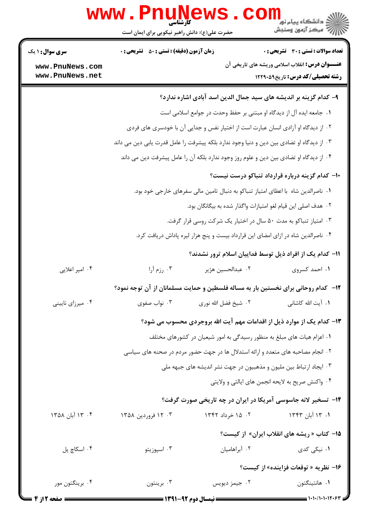|                                                              | www.PnuNews<br>حضرت علی(ع): دانش راهبر نیکویی برای ایمان است |                                | ڪ دانشڪاه پيا <sub>م</sub> نور<br>ر <i>ا</i> ⊂ مرڪز آزمون وسنڊش                                                                                                                                                                                                                                                                                                                                                                                                          |
|--------------------------------------------------------------|--------------------------------------------------------------|--------------------------------|--------------------------------------------------------------------------------------------------------------------------------------------------------------------------------------------------------------------------------------------------------------------------------------------------------------------------------------------------------------------------------------------------------------------------------------------------------------------------|
| <b>سری سوال :</b> ۱ یک<br>www.PnuNews.com<br>www.PnuNews.net | <b>زمان آزمون (دقیقه) : تستی : 50 ٪ تشریحی : 0</b>           |                                | <b>تعداد سوالات : تستی : 30 ٪ تشریحی : 0</b><br><b>عنـــوان درس:</b> انقلاب اسلامی وریشه های تاریخی آن<br><b>رشته تحصیلی/کد درس:</b> تاریخ1۲۲۹۰۵۹                                                                                                                                                                                                                                                                                                                        |
|                                                              |                                                              |                                | ۹– کدام گزینه بر اندیشه های سید جمال الدین اسد آبادی اشاره ندارد؟<br>٠١. جامعه ايده آل از ديدگاه او مبتنى بر حفظ وحدت در جوامع اسلامى است<br>۰۲ از دیدگاه او آزادی انسان عبارت است از اختیار نفس و جدایی آن با خودسری های فردی<br>۰۳ از دیدگاه او تضادی بین دین و دنیا وجود ندارد بلکه پیشرفت را عامل قدرت یابی دین می داند<br>۰۴ از دیدگاه او تضادی بین دین و علوم روز وجود ندارد بلکه آن را عامل پیشرفت دین می داند<br>۱۰– کدام گزینه درباره قرارداد تنباکو درست نیست؟ |
| ۰۴ امیر اعلایی                                               | ۰۳ رزم آرا                                                   | ٠٢ عبدالحسين هژير              | ۰۱ ناصرالدین شاه با اعطای امتیاز تنباکو به دنبال تامین مالی سفرهای خارجی خود بود.<br>۰۲ هدف اصلی این قیام لغو امتیازات واگذار شده به بیگانگان بود.<br>۰۳ امتیاز تنباکو به مدت ۵۰ سال در اختیار یک شرکت روسی قرار گرفت.<br>۰۴ ناصرالدین شاه در ازای امضای این قرارداد بیست و پنج هزار لیره پاداش دریافت کرد.<br>1۱– کدام یک از افراد ذیل توسط فداییان اسلام ترور نشدند؟<br>۰۱ احمد کسروی                                                                                  |
| ۰۴ میرزای نایینی                                             | نواب صفوى $\cdot$ ۳                                          | ۲ . شيخ فضل الله نوري          | ۱۲- کدام روحانی برای نخستین بار به مساله فلسطین و حمایت مسلمانان از آن توجه نمود؟<br>٠١. آيت الله كاشاني<br>۱۳- کدام یک از موارد ذیل از اقدامات مهم آیت الله بروجردی محسوب می شود؟<br>۰۱ اعزام هیات های مبلغ به منظور رسیدگی به امور شیعیان در کشورهای مختلف<br>۰۲ انجام مصاحبه های متعدد و ارائه استدلال ها در جهت حضور مردم در صحنه های سیاسی<br>۰۳ ایجاد ارتباط بین ملیون و مذهبیون در جهت نشر اندیشه های جبهه ملی                                                    |
| ۰۴ آبان ۱۳۵۸                                                 | ۰۳ تا فروردین ۱۳۵۸                                           | ۰۲ ۱۵ خرداد ۱۳۴۲               | ۰۴ واکنش صریح به لایحه انجمن های ایالتی و ولایتی<br>۱۴- تسخیر لانه جاسوسی آمریکا در ایران در چه تاریخی صورت گرفت؟<br>۱. ۱۳ آبان ۱۳۴۳<br>1۵- کتاب « ریشه های انقلاب ایران» از کیست؟                                                                                                                                                                                                                                                                                       |
| ۰۴ اسکاچ پل<br>۰۴ برینگتون مور                               | ۰۳ اسیوزیتو<br>۰۳ برينتون                                    | ۰۲ آبراهامیان<br>۰۲ جیمز دیویس | <b>۱</b> . نیکی کدی<br>۱۶- نظریه « توقعات فزاینده» از کیست؟<br>٠١. هانتينگتون                                                                                                                                                                                                                                                                                                                                                                                            |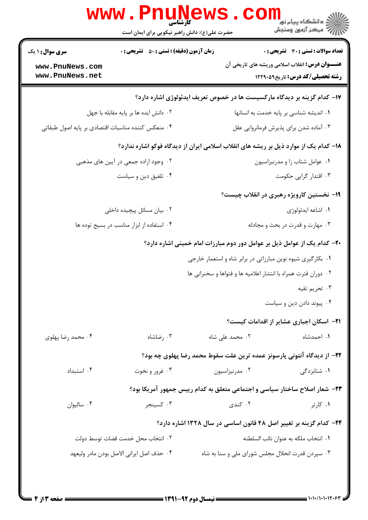|                                                    | حضرت علی(ع): دانش راهبر نیکویی برای ایمان است                                        |                                                                    | الله دانشگاه پیام نور COM<br>الله مرکز آزمون وسنجش                                                |
|----------------------------------------------------|--------------------------------------------------------------------------------------|--------------------------------------------------------------------|---------------------------------------------------------------------------------------------------|
| <b>سری سوال : ۱ یک</b>                             | <b>زمان آزمون (دقیقه) : تستی : 50 ٪ تشریحی : 0</b>                                   |                                                                    | <b>تعداد سوالات : تستی : 30 ٪ تشریحی : 0</b>                                                      |
| www.PnuNews.com<br>www.PnuNews.net                 |                                                                                      |                                                                    | <b>عنـــوان درس:</b> انقلاب اسلامی وریشه های تاریخی آن<br><b>رشته تحصیلی/کد درس: تاریخ1۲۲۹۰۵۹</b> |
|                                                    | ۱۷- کدام گزینه بر دیدگاه مارکسیست ها در خصوص تعریف ایدئولوژی اشاره دارد؟             |                                                                    |                                                                                                   |
|                                                    | ۰۲ دانش ایده ها بر پایه مقابله با جهل                                                |                                                                    | ٠١ انديشه شناسى بر پايه خدمت به انسانها                                                           |
| ۰۴ منعکس کننده مناسبات اقتصادی بر پایه اصول طبقاتی |                                                                                      |                                                                    | ۰۳ آماده شدن برای پذیرش فرمانروایی عقل                                                            |
|                                                    | ۱۸– کدام یک از موارد ذیل بر ریشه های انقلاب اسلامی ایران از دیدگاه فوکو اشاره ندارد؟ |                                                                    |                                                                                                   |
|                                                    | ۰۲ وجود اراده جمعی در آیین های مذهبی                                                 |                                                                    | ٠١ عوامل شتاب زا و مدرنيزاسيون                                                                    |
|                                                    | ۰۴ تلفیق دین و سیاست                                                                 |                                                                    | ۰۳ اقتدار گرایی حکومت                                                                             |
|                                                    |                                                                                      |                                                                    | ۱۹- نخستین کارویژه رهبری در انقلاب چیست؟                                                          |
|                                                    | ۰۲ بیان مسائل پیچیده داخلی                                                           |                                                                    | ۰۱ اشاعه ايدئولوژي                                                                                |
|                                                    | ۰۴ استفاده از ابزار مناسب در بسیج توده ها                                            |                                                                    | ۰۳ مهارت و قدرت در بحث و مجادله                                                                   |
|                                                    | +۲- کدام یک از عوامل ذیل بر عوامل دور دوم مبارزات امام خمینی اشاره دارد؟             |                                                                    |                                                                                                   |
|                                                    |                                                                                      | ۰۱ بکارگیری شیوه نوین مبارزاتی در برابر شاه و استعمار خارجی        |                                                                                                   |
|                                                    |                                                                                      | ٠٢ دوران فترت همراه با انتشار اعلاميه ها و فتواها و سخنراني ها     |                                                                                                   |
|                                                    |                                                                                      |                                                                    | ۰۳ تحریم تقیه                                                                                     |
|                                                    |                                                                                      |                                                                    | ۰۴ پیوند دادن دین و سیاست                                                                         |
|                                                    |                                                                                      |                                                                    | <b>۲۱</b> - اسکان اجباری عشایر از اقدامات کیست؟                                                   |
| ۰۴ محمد رضا پهلوی                                  | ۰۳ رضاشاه                                                                            | ۰۲ محمد علی شاه                                                    | ٠١. احمدشاه                                                                                       |
|                                                    | ۲۲– از دیدگاه آنتونی پارسونز عمده ترین علت سقوط محمد رضا پهلوی چه بود؟               |                                                                    |                                                                                                   |
| ۰۴ استبداد                                         | ۰۳ غرور و نخوت                                                                       | ۰۲ مدرنیزاسیون                                                     | ۰۱ شتابزدگ <i>ی</i>                                                                               |
|                                                    | ٢٣- شعار اصلاح ساختار سياسي و اجتماعي متعلق به كدام رييس جمهور آمريكا بود؟           |                                                                    |                                                                                                   |
| ۰۴ ساليوان                                         | ۰۳ کسینجر                                                                            | ۰۲ کندی                                                            | ۰۱ کارتر                                                                                          |
|                                                    |                                                                                      | ۲۴- کدام گزینه بر تغییر اصل ۴۸ قانون اساسی در سال ۱۳۲۸ اشاره دارد؟ |                                                                                                   |
|                                                    | ٢. انتخاب محل خدمت قضات توسط دولت                                                    |                                                                    | ٠١ انتخاب ملكه به عنوان نائب السلطنه                                                              |
|                                                    | ۰۴ حذف اصل ايراني الاصل بودن مادر وليعهد                                             | ۰۳ سپردن قدرت انحلال مجلس شورای ملی و سنا به شاه                   |                                                                                                   |